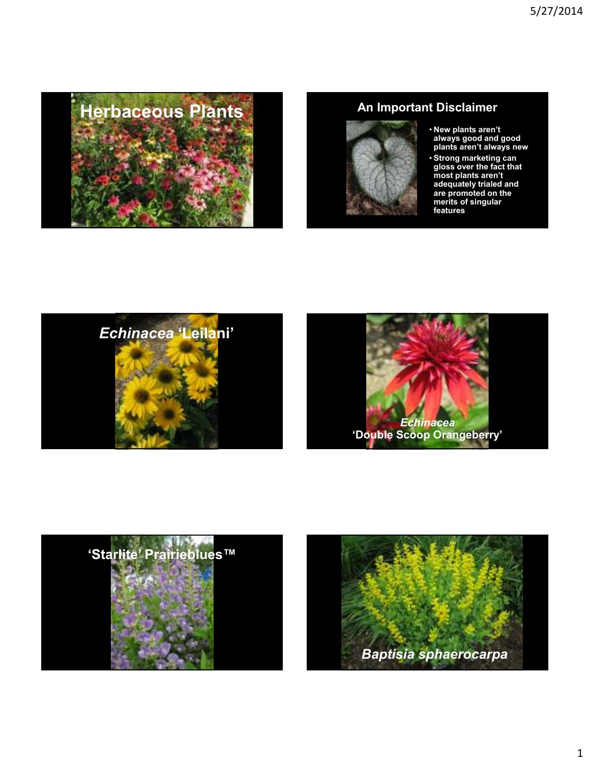



- **New plants aren't always good and good plants aren't always new**
- **Strong marketing can gloss over the fact that most plants aren't adequately trialed and are promoted on the merits of singular features**







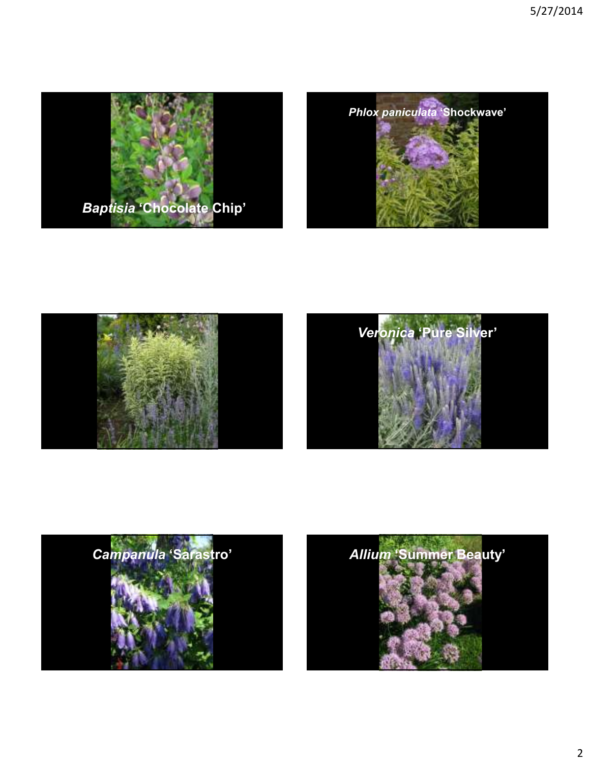







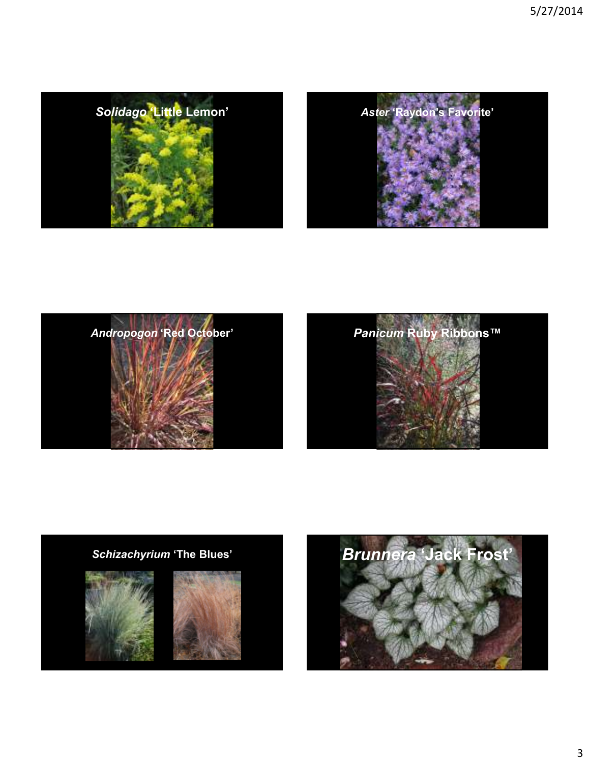





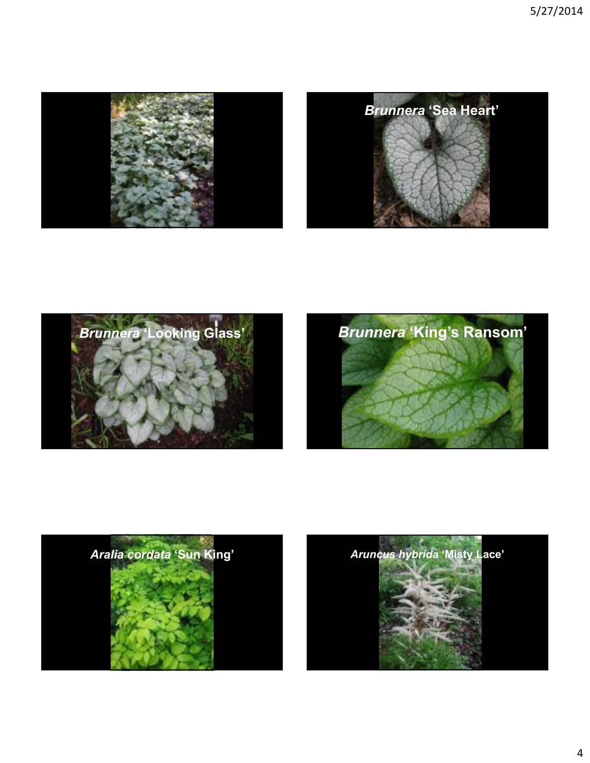









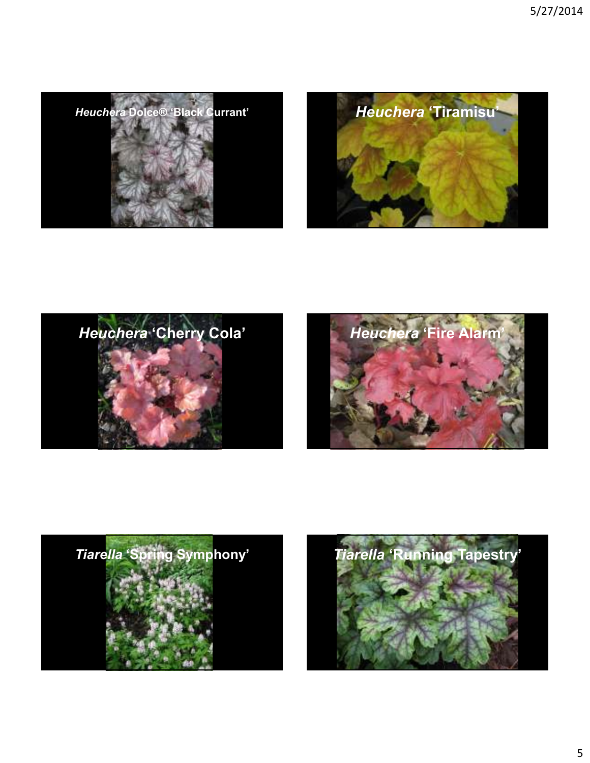









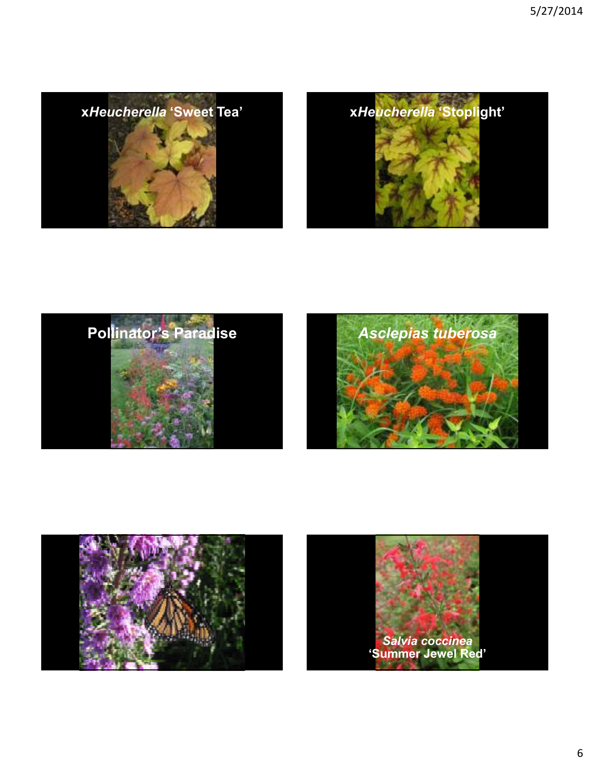









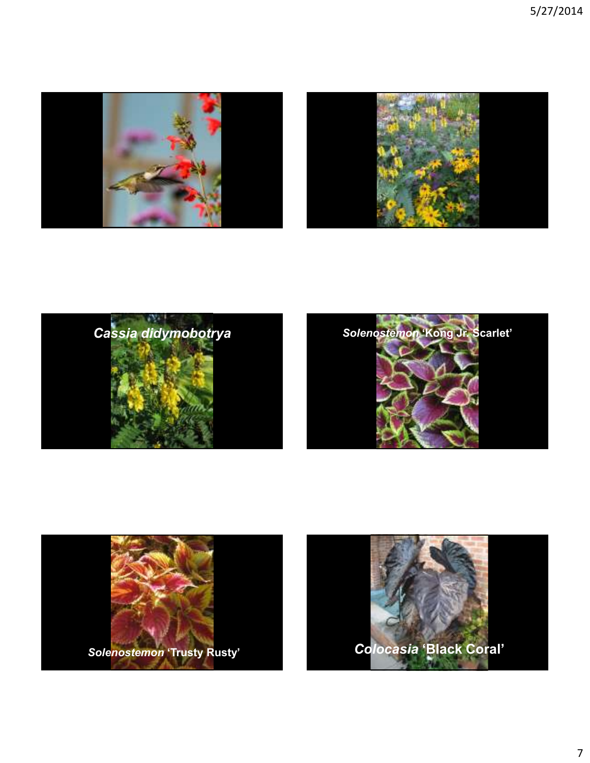







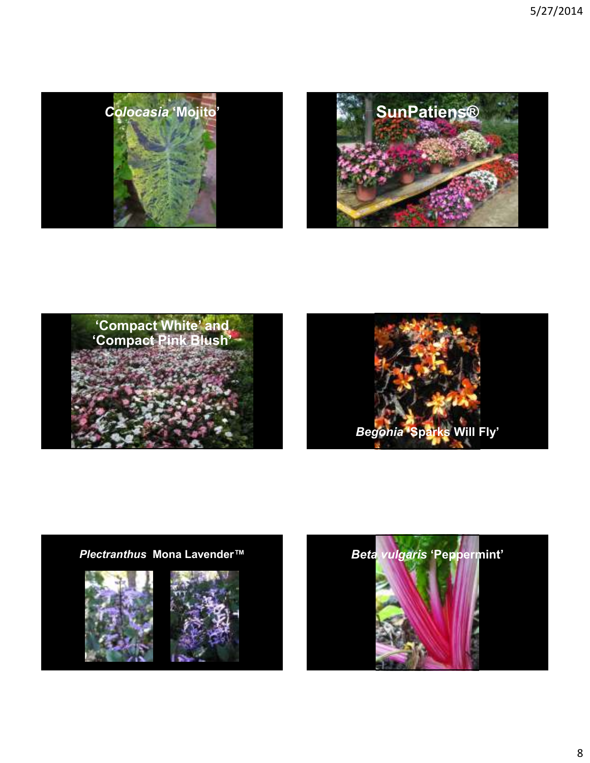